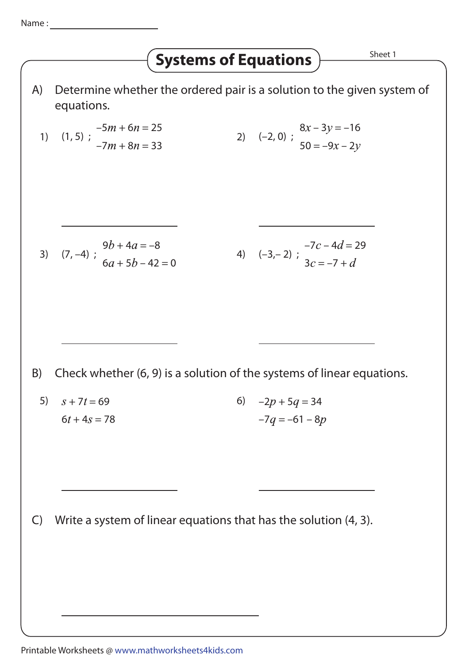## **Systems of Equations**  $\overline{\phantom{a}}$  Sheet 1

A) Determine whether the ordered pair is a solution to the given system of equations.

1) (1, 5) ; –5 + 6 = 25 –7 + 8 = 33 2) (–2, 0) ; 8 – 3 = –16 50 = –9 – 2 3) (7, –4) ; 9 + 4 = –8 6 + 5 – 42 = 0 4) (–3,– 2) ; –7 – 4 = 29 3 = –7 + B) Check whether (6, 9) is a solution of the systems of linear equations. 5) + 7 = 69 6 + 4 = 78 6) –2 + 5 = 34 –7 = –61 – 8

C) Write a system of linear equations that has the solution (4, 3).